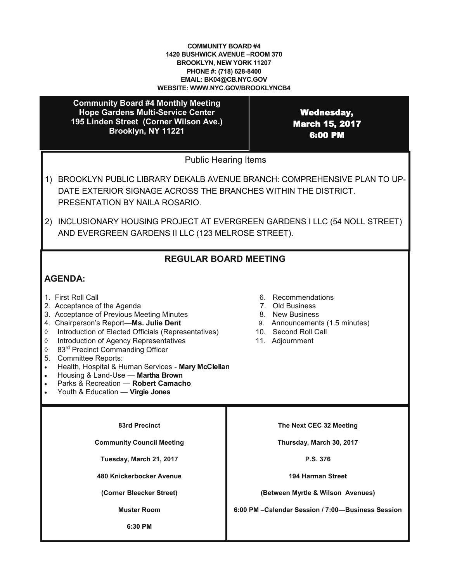### **COMMUNITY BOARD #4 1420 BUSHWICK AVENUE –ROOM 370 BROOKLYN, NEW YORK 11207 PHONE #: (718) 628-8400 EMAIL: BK04@CB.NYC.GOV WEBSITE: WWW.NYC.GOV/BROOKLYNCB4**

**Community Board #4 Monthly Meeting Hope Gardens Multi-Service Center 195 Linden Street (Corner Wilson Ave.) Brooklyn, NY 11221**

Wednesday, March 15, 2017 6:00 PM

Public Hearing Items

- 1) BROOKLYN PUBLIC LIBRARY DEKALB AVENUE BRANCH: COMPREHENSIVE PLAN TO UP-DATE EXTERIOR SIGNAGE ACROSS THE BRANCHES WITHIN THE DISTRICT. PRESENTATION BY NAILA ROSARIO.
- 2) INCLUSIONARY HOUSING PROJECT AT EVERGREEN GARDENS I LLC (54 NOLL STREET) AND EVERGREEN GARDENS II LLC (123 MELROSE STREET).

# **REGULAR BOARD MEETING**

# **AGENDA:**

- 
- 2. Acceptance of the Agenda
- 1. First Roll Call<br>
2. Acceptance of the Agenda<br>
3. Acceptance of Previous Meeting Minutes<br>
3. Acceptance of Previous Meeting Minutes<br>
3. New Business 3. Acceptance of Previous Meeting Minutes 8. New Business<br>
4. Chairperson's Report—**Ms. Julie Dent** 9. Announcements (1.5 minutes)
- 4. Chairperson's Report-Ms. Julie Dent
- $\Diamond$  Introduction of Elected Officials (Representatives) 10. Second Roll Call  $\Diamond$  Introduction of Agency Representatives 11. Adjournment
- $\Diamond$  Introduction of Agency Representatives
- ♦ 83<sup>rd</sup> Precinct Commanding Officer
- 5. Committee Reports:
- Health, Hospital & Human Services **Mary McClellan**
- Housing & Land-Use **Martha Brown**
- Parks & Recreation **Robert Camacho**
- Youth & Education **Virgie Jones**
- 
- 
- 
- 
- 
- 

**83rd Precinct**

**Community Council Meeting**

**Tuesday, March 21, 2017**

**480 Knickerbocker Avenue** 

**(Corner Bleecker Street)**

**Muster Room** 

**6:30 PM**

**The Next CEC 32 Meeting**

**Thursday, March 30, 2017**

**P.S. 376**

**194 Harman Street**

**(Between Myrtle & Wilson Avenues)**

**6:00 PM –Calendar Session / 7:00—Business Session**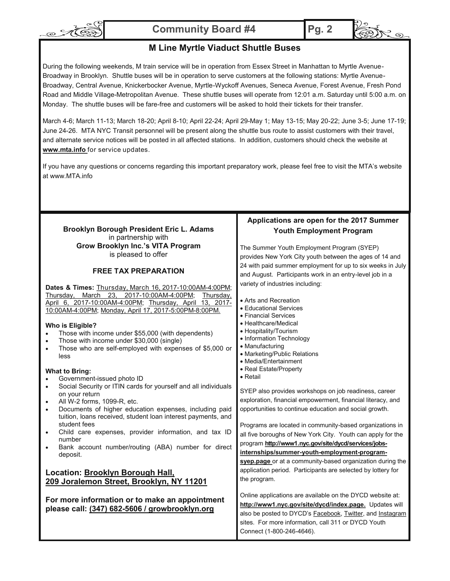

**Community Board #4 Pg. 2**



 $\mathcal{R}_{\mathcal{D}}$ 

## **M Line Myrtle Viaduct Shuttle Buses**

During the following weekends, M train service will be in operation from Essex Street in Manhattan to Myrtle Avenue-Broadway in Brooklyn. Shuttle buses will be in operation to serve customers at the following stations: Myrtle Avenue-Broadway, Central Avenue, Knickerbocker Avenue, Myrtle-Wyckoff Avenues, Seneca Avenue, Forest Avenue, Fresh Pond Road and Middle Village-Metropolitan Avenue. These shuttle buses will operate from 12:01 a.m. Saturday until 5:00 a.m. on Monday. The shuttle buses will be fare-free and customers will be asked to hold their tickets for their transfer.

March 4-6; March 11-13; March 18-20; April 8-10; April 22-24; April 29-May 1; May 13-15; May 20-22; June 3-5; June 17-19; June 24-26. MTA NYC Transit personnel will be present along the shuttle bus route to assist customers with their travel, and alternate service notices will be posted in all affected stations. In addition, customers should check the website at **www.mta.info** for service updates.

If you have any questions or concerns regarding this important preparatory work, please feel free to visit the MTA's website at www.MTA.info

#### **Applications are open for the 2017 Summer Youth Employment Program** The Summer Youth Employment Program (SYEP) provides New York City youth between the ages of 14 and 24 with paid summer employment for up to six weeks in July and August. Participants work in an entry-level job in a variety of industries including: Arts and Recreation Educational Services Financial Services • Healthcare/Medical • Hospitality/Tourism • Information Technology • Manufacturing • Marketing/Public Relations Media/Entertainment Real Estate/Property • Retail SYEP also provides workshops on job readiness, career exploration, financial empowerment, financial literacy, and opportunities to continue education and social growth. Programs are located in community-based organizations in all five boroughs of New York City. Youth can apply for the program **[http://www1.nyc.gov/site/dycd/services/jobs](http://www1.nyc.gov/site/dycd/services/jobs-internships/summer-youth-employment-program-syep.page)[internships/summer](http://www1.nyc.gov/site/dycd/services/jobs-internships/summer-youth-employment-program-syep.page)-youth-employment-program[syep.page](http://www1.nyc.gov/site/dycd/services/jobs-internships/summer-youth-employment-program-syep.page)** or at a community-based organization during the application period. Participants are selected by lottery for the program. Online applications are available on the DYCD website at: **[http://www1.nyc.gov/site/dycd/index.page.](http://www1.nyc.gov/site/dycd/index.page)** Updates will also be posted to DYCD's Facebook, Twitter, and Instagram sites. For more information, call 311 or DYCD Youth Connect (1-800-246-4646). **Brooklyn Borough President Eric L. Adams** in partnership with **Grow Brooklyn Inc.'s VITA Program** is pleased to offer **FREE TAX PREPARATION Dates & Times:** Thursday, March 16, 2017-10:00AM-4:00PM; Thursday, March 23, 2017-10:00AM-4:00PM; Thursday, April 6, 2017-10:00AM-4:00PM; Thursday, April 13, 2017- 10:00AM-4:00PM; Monday, April 17, 2017-5:00PM-8:00PM. **Who is Eligible?** Those with income under \$55,000 (with dependents) Those with income under \$30,000 (single) • Those who are self-employed with expenses of \$5,000 or less **What to Bring:** Government-issued photo ID Social Security or ITIN cards for yourself and all individuals on your return All W-2 forms, 1099-R, etc. Documents of higher education expenses, including paid tuition, loans received, student loan interest payments, and student fees Child care expenses, provider information, and tax ID number Bank account number/routing (ABA) number for direct deposit. **Location: Brooklyn Borough Hall, 209 Joralemon Street, Brooklyn, NY 11201 For more information or to make an appointment please call: (347) 682-5606 / growbrooklyn.org**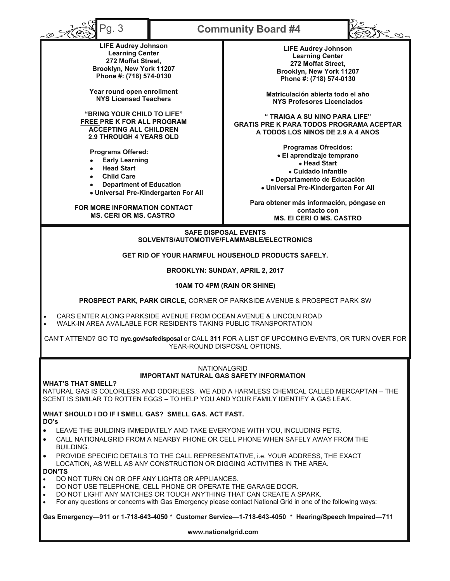| $^{\circ}$ g. 3                                                                                                                                                                                                                                                                                                                 | <b>Community Board #4</b> |                                                                                                                                                                        |  |  |  |  |
|---------------------------------------------------------------------------------------------------------------------------------------------------------------------------------------------------------------------------------------------------------------------------------------------------------------------------------|---------------------------|------------------------------------------------------------------------------------------------------------------------------------------------------------------------|--|--|--|--|
| <b>LIFE Audrey Johnson</b><br><b>Learning Center</b><br>272 Moffat Street,<br>Brooklyn, New York 11207<br>Phone #: (718) 574-0130                                                                                                                                                                                               |                           | <b>LIFE Audrey Johnson</b><br><b>Learning Center</b><br>272 Moffat Street,<br>Brooklyn, New York 11207<br>Phone #: (718) 574-0130                                      |  |  |  |  |
| Year round open enrollment<br><b>NYS Licensed Teachers</b>                                                                                                                                                                                                                                                                      |                           | Matriculación abierta todo el año<br><b>NYS Profesores Licenciados</b>                                                                                                 |  |  |  |  |
| "BRING YOUR CHILD TO LIFE"<br>FREE PRE K FOR ALL PROGRAM<br><b>ACCEPTING ALL CHILDREN</b><br><b>2.9 THROUGH 4 YEARS OLD</b>                                                                                                                                                                                                     |                           | "TRAIGA A SU NINO PARA LIFE"<br><b>GRATIS PRE K PARA TODOS PROGRAMA ACEPTAR</b><br>A TODOS LOS NINOS DE 2.9 A 4 ANOS                                                   |  |  |  |  |
| Programs Offered:<br><b>Early Learning</b><br><b>Head Start</b><br><b>Child Care</b><br>$\bullet$<br><b>Department of Education</b><br>• Universal Pre-Kindergarten For All                                                                                                                                                     |                           | <b>Programas Ofrecidos:</b><br>· El aprendizaje temprano<br>• Head Start<br>• Cuidado infantile<br>• Departamento de Educación<br>• Universal Pre-Kindergarten For All |  |  |  |  |
| FOR MORE INFORMATION CONTACT<br><b>MS. CERI OR MS. CASTRO</b>                                                                                                                                                                                                                                                                   |                           | Para obtener más información, póngase en<br>contacto con<br><b>MS. EI CERI O MS. CASTRO</b>                                                                            |  |  |  |  |
| <b>SAFE DISPOSAL EVENTS</b><br>SOLVENTS/AUTOMOTIVE/FLAMMABLE/ELECTRONICS                                                                                                                                                                                                                                                        |                           |                                                                                                                                                                        |  |  |  |  |
| GET RID OF YOUR HARMFUL HOUSEHOLD PRODUCTS SAFELY.                                                                                                                                                                                                                                                                              |                           |                                                                                                                                                                        |  |  |  |  |
| BROOKLYN: SUNDAY, APRIL 2, 2017                                                                                                                                                                                                                                                                                                 |                           |                                                                                                                                                                        |  |  |  |  |
| 10AM TO 4PM (RAIN OR SHINE)                                                                                                                                                                                                                                                                                                     |                           |                                                                                                                                                                        |  |  |  |  |
| PROSPECT PARK, PARK CIRCLE, CORNER OF PARKSIDE AVENUE & PROSPECT PARK SW                                                                                                                                                                                                                                                        |                           |                                                                                                                                                                        |  |  |  |  |
| CARS ENTER ALONG PARKSIDE AVENUE FROM OCEAN AVENUE & LINCOLN ROAD<br>WALK-IN AREA AVAILABLE FOR RESIDENTS TAKING PUBLIC TRANSPORTATION                                                                                                                                                                                          |                           |                                                                                                                                                                        |  |  |  |  |
| CAN'T ATTEND? GO TO nyc.gov/safedisposal or CALL 311 FOR A LIST OF UPCOMING EVENTS, OR TURN OVER FOR<br>YEAR-ROUND DISPOSAL OPTIONS.                                                                                                                                                                                            |                           |                                                                                                                                                                        |  |  |  |  |
| <b>NATIONALGRID</b><br><b>IMPORTANT NATURAL GAS SAFETY INFORMATION</b>                                                                                                                                                                                                                                                          |                           |                                                                                                                                                                        |  |  |  |  |
| <b>WHAT'S THAT SMELL?</b><br>NATURAL GAS IS COLORLESS AND ODORLESS. WE ADD A HARMLESS CHEMICAL CALLED MERCAPTAN - THE<br>SCENT IS SIMILAR TO ROTTEN EGGS - TO HELP YOU AND YOUR FAMILY IDENTIFY A GAS LEAK.                                                                                                                     |                           |                                                                                                                                                                        |  |  |  |  |
| WHAT SHOULD I DO IF I SMELL GAS? SMELL GAS, ACT FAST.<br>DO's                                                                                                                                                                                                                                                                   |                           |                                                                                                                                                                        |  |  |  |  |
| LEAVE THE BUILDING IMMEDIATELY AND TAKE EVERYONE WITH YOU, INCLUDING PETS.<br>$\bullet$<br>CALL NATIONALGRID FROM A NEARBY PHONE OR CELL PHONE WHEN SAFELY AWAY FROM THE<br><b>BUILDING.</b>                                                                                                                                    |                           |                                                                                                                                                                        |  |  |  |  |
| PROVIDE SPECIFIC DETAILS TO THE CALL REPRESENTATIVE, i.e. YOUR ADDRESS, THE EXACT<br>LOCATION, AS WELL AS ANY CONSTRUCTION OR DIGGING ACTIVITIES IN THE AREA.<br><b>DON'TS</b>                                                                                                                                                  |                           |                                                                                                                                                                        |  |  |  |  |
| DO NOT TURN ON OR OFF ANY LIGHTS OR APPLIANCES.<br>DO NOT USE TELEPHONE, CELL PHONE OR OPERATE THE GARAGE DOOR.<br>DO NOT LIGHT ANY MATCHES OR TOUCH ANYTHING THAT CAN CREATE A SPARK.<br>$\bullet$<br>For any questions or concerns with Gas Emergency please contact National Grid in one of the following ways:<br>$\bullet$ |                           |                                                                                                                                                                        |  |  |  |  |
| Gas Emergency-911 or 1-718-643-4050 * Customer Service-1-718-643-4050 * Hearing/Speech Impaired-711                                                                                                                                                                                                                             |                           |                                                                                                                                                                        |  |  |  |  |
| www.nationalgrid.com                                                                                                                                                                                                                                                                                                            |                           |                                                                                                                                                                        |  |  |  |  |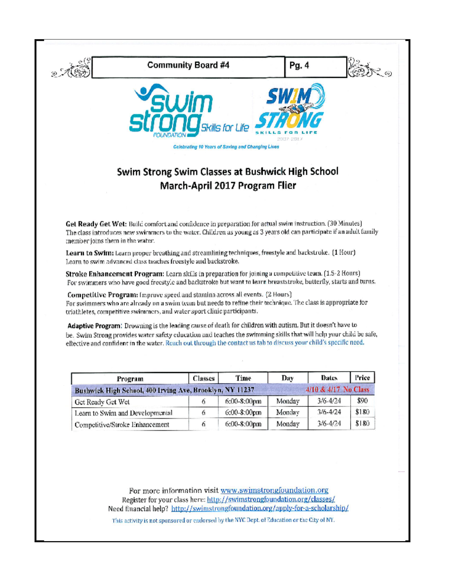

For swimmers who are already on a swim team but needs to refine their technique. The class is appropriate for triathletes, competitive swimmers, and water sport clinic participants.

Adaptive Program: Drowning is the leading cause of death for children with autism. But it doesn't have to be. Swim Strong provides water safety education and teaches the swimming skills that will help your child be safe, effective and confident in the water. Reach out through the contact us tab to discuss your child's specific need.

| Program                                                  | Classes | Time           | Day.   | Dates                | Price |
|----------------------------------------------------------|---------|----------------|--------|----------------------|-------|
| Bushwick High School, 400 Irving Ave, Brooklyn, NY 11237 |         |                |        | 4/10 & 4/17 No Class |       |
| Get Ready Get Wet                                        |         | 6:00-8:00pm    | Monday | $3/6 - 4/24$         | \$90  |
| Learn to Swim and Developmental                          |         | $6:00-8:00$ pm | Monday | $3/6 - 4/24$         | \$180 |
| Competitive/Stroke Enhancement                           |         | 6:00-8:00pm    | Monday | $3/6 - 4/24$         | \$180 |

For more information visit www.swimstrongfoundation.org Register for your class here: http://swimstrongfoundation.org/classes/ Need financial help? http://swimstrongfoundation.org/apply-for-a-scholarship/

This activity is not sponsored or endorsed by the NYC Dept. of Education or the City of NY.